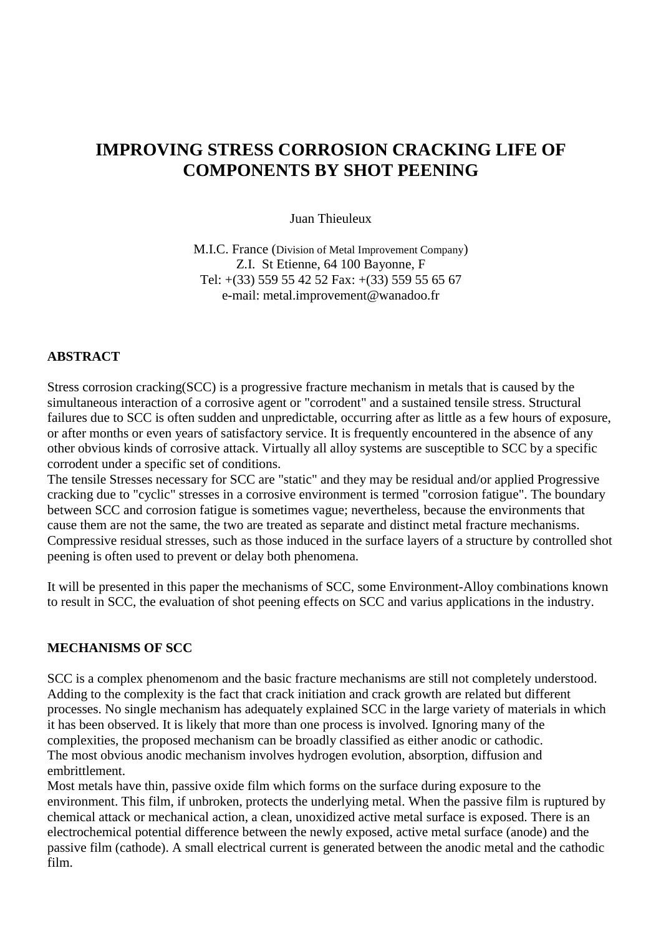# **IMPROVING STRESS CORROSION CRACKING LIFE OF COMPONENTS BY SHOT PEENING**

Juan Thieuleux

M.I.C. France (Division of Metal Improvement Company) Z.I. St Etienne, 64 100 Bayonne, F Tel: +(33) 559 55 42 52 Fax: +(33) 559 55 65 67 e-mail: metal.improvement@wanadoo.fr

#### **ABSTRACT**

Stress corrosion cracking(SCC) is a progressive fracture mechanism in metals that is caused by the simultaneous interaction of a corrosive agent or "corrodent" and a sustained tensile stress. Structural failures due to SCC is often sudden and unpredictable, occurring after as little as a few hours of exposure, or after months or even years of satisfactory service. It is frequently encountered in the absence of any other obvious kinds of corrosive attack. Virtually all alloy systems are susceptible to SCC by a specific corrodent under a specific set of conditions.

The tensile Stresses necessary for SCC are "static" and they may be residual and/or applied Progressive cracking due to "cyclic" stresses in a corrosive environment is termed "corrosion fatigue". The boundary between SCC and corrosion fatigue is sometimes vague; nevertheless, because the environments that cause them are not the same, the two are treated as separate and distinct metal fracture mechanisms. Compressive residual stresses, such as those induced in the surface layers of a structure by controlled shot peening is often used to prevent or delay both phenomena.

It will be presented in this paper the mechanisms of SCC, some Environment-Alloy combinations known to result in SCC, the evaluation of shot peening effects on SCC and varius applications in the industry.

#### **MECHANISMS OF SCC**

SCC is a complex phenomenom and the basic fracture mechanisms are still not completely understood. Adding to the complexity is the fact that crack initiation and crack growth are related but different processes. No single mechanism has adequately explained SCC in the large variety of materials in which it has been observed. It is likely that more than one process is involved. Ignoring many of the complexities, the proposed mechanism can be broadly classified as either anodic or cathodic. The most obvious anodic mechanism involves hydrogen evolution, absorption, diffusion and embrittlement.

Most metals have thin, passive oxide film which forms on the surface during exposure to the environment. This film, if unbroken, protects the underlying metal. When the passive film is ruptured by chemical attack or mechanical action, a clean, unoxidized active metal surface is exposed. There is an electrochemical potential difference between the newly exposed, active metal surface (anode) and the passive film (cathode). A small electrical current is generated between the anodic metal and the cathodic film.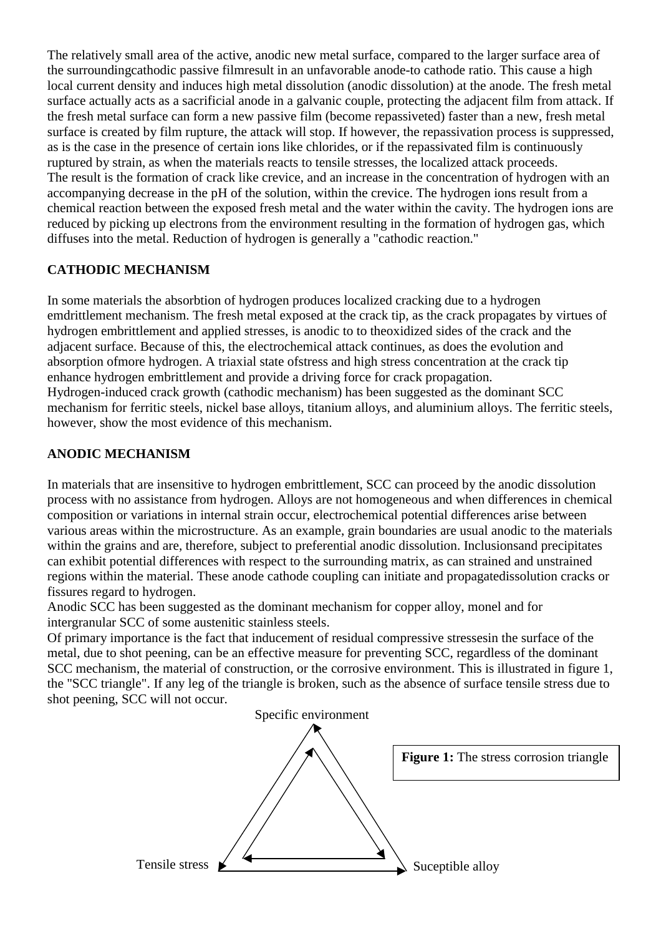The relatively small area of the active, anodic new metal surface, compared to the larger surface area of the surroundingcathodic passive filmresult in an unfavorable anode-to cathode ratio. This cause a high local current density and induces high metal dissolution (anodic dissolution) at the anode. The fresh metal surface actually acts as a sacrificial anode in a galvanic couple, protecting the adjacent film from attack. If the fresh metal surface can form a new passive film (become repassiveted) faster than a new, fresh metal surface is created by film rupture, the attack will stop. If however, the repassivation process is suppressed, as is the case in the presence of certain ions like chlorides, or if the repassivated film is continuously ruptured by strain, as when the materials reacts to tensile stresses, the localized attack proceeds. The result is the formation of crack like crevice, and an increase in the concentration of hydrogen with an accompanying decrease in the pH of the solution, within the crevice. The hydrogen ions result from a chemical reaction between the exposed fresh metal and the water within the cavity. The hydrogen ions are reduced by picking up electrons from the environment resulting in the formation of hydrogen gas, which diffuses into the metal. Reduction of hydrogen is generally a "cathodic reaction."

# **CATHODIC MECHANISM**

In some materials the absorbtion of hydrogen produces localized cracking due to a hydrogen emdrittlement mechanism. The fresh metal exposed at the crack tip, as the crack propagates by virtues of hydrogen embrittlement and applied stresses, is anodic to to theoxidized sides of the crack and the adjacent surface. Because of this, the electrochemical attack continues, as does the evolution and absorption ofmore hydrogen. A triaxial state ofstress and high stress concentration at the crack tip enhance hydrogen embrittlement and provide a driving force for crack propagation. Hydrogen-induced crack growth (cathodic mechanism) has been suggested as the dominant SCC mechanism for ferritic steels, nickel base alloys, titanium alloys, and aluminium alloys. The ferritic steels, however, show the most evidence of this mechanism.

## **ANODIC MECHANISM**

In materials that are insensitive to hydrogen embrittlement, SCC can proceed by the anodic dissolution process with no assistance from hydrogen. Alloys are not homogeneous and when differences in chemical composition or variations in internal strain occur, electrochemical potential differences arise between various areas within the microstructure. As an example, grain boundaries are usual anodic to the materials within the grains and are, therefore, subject to preferential anodic dissolution. Inclusionsand precipitates can exhibit potential differences with respect to the surrounding matrix, as can strained and unstrained regions within the material. These anode cathode coupling can initiate and propagatedissolution cracks or fissures regard to hydrogen.

Anodic SCC has been suggested as the dominant mechanism for copper alloy, monel and for intergranular SCC of some austenitic stainless steels.

Of primary importance is the fact that inducement of residual compressive stressesin the surface of the metal, due to shot peening, can be an effective measure for preventing SCC, regardless of the dominant SCC mechanism, the material of construction, or the corrosive environment. This is illustrated in figure 1, the "SCC triangle". If any leg of the triangle is broken, such as the absence of surface tensile stress due to shot peening, SCC will not occur.

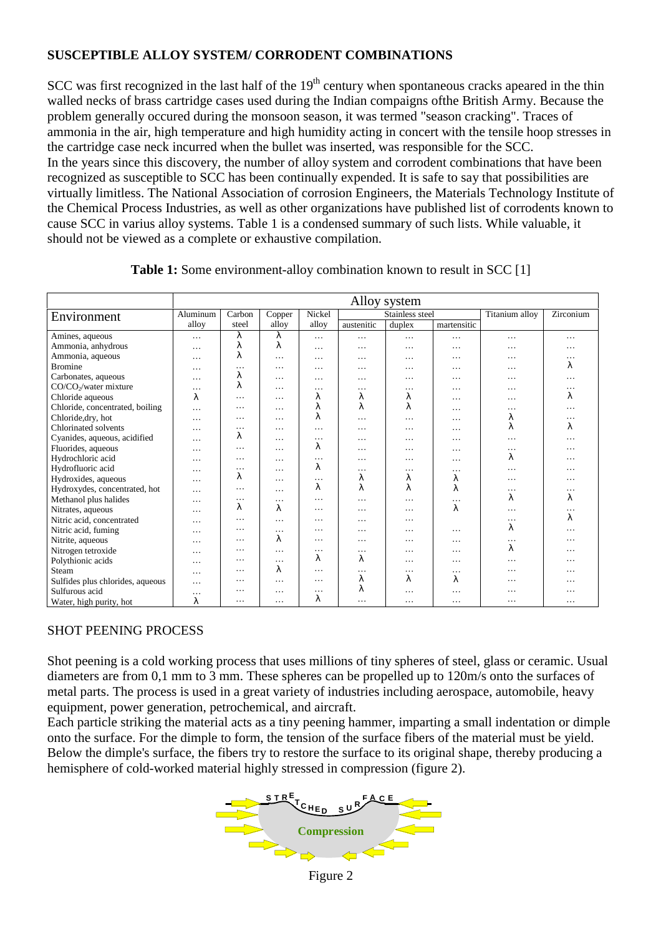## **SUSCEPTIBLE ALLOY SYSTEM/ CORRODENT COMBINATIONS**

SCC was first recognized in the last half of the  $19<sup>th</sup>$  century when spontaneous cracks apeared in the thin walled necks of brass cartridge cases used during the Indian compaigns ofthe British Army. Because the problem generally occured during the monsoon season, it was termed "season cracking". Traces of ammonia in the air, high temperature and high humidity acting in concert with the tensile hoop stresses in the cartridge case neck incurred when the bullet was inserted, was responsible for the SCC. In the years since this discovery, the number of alloy system and corrodent combinations that have been recognized as susceptible to SCC has been continually expended. It is safe to say that possibilities are virtually limitless. The National Association of corrosion Engineers, the Materials Technology Institute of the Chemical Process Industries, as well as other organizations have published list of corrodents known to cause SCC in varius alloy systems. Table 1 is a condensed summary of such lists. While valuable, it should not be viewed as a complete or exhaustive compilation.

|                                   | Alloy system |                                               |          |           |                |           |             |   |          |
|-----------------------------------|--------------|-----------------------------------------------|----------|-----------|----------------|-----------|-------------|---|----------|
| Environment                       | Aluminum     | Stainless steel<br>Carbon<br>Nickel<br>Copper |          |           | Titanium alloy | Zirconium |             |   |          |
|                                   | alloy        | steel                                         | allov    | alloy     | austenitic     | duplex    | martensitic |   |          |
| Amines, aqueous                   | $\cdots$     | λ                                             | λ        | $\cdots$  | $\cdots$       | $\cdots$  | .           | . | .        |
| Ammonia, anhydrous                | .            | λ                                             | λ        | $\cdots$  | $\cdots$       | $\cdots$  | $\cdots$    | . | .        |
| Ammonia, aqueous                  | $\cdots$     | λ                                             | $\cdots$ | $\cdots$  | $\cdots$       | $\cdots$  | $\cdots$    | . | .        |
| <b>Bromine</b>                    | $\cdots$     | $\cdots$                                      | .        | $\ddotsc$ | $\cdots$       | $\cdots$  | .           | . | λ        |
| Carbonates, aqueous               | .            | λ                                             | .        | $\ddotsc$ | $\cdots$       | $\cdots$  | .           | . | .        |
| CO/CO <sub>2</sub> /water mixture | $\cdots$     | λ                                             | $\cdots$ | $\ddotsc$ | $\cdots$       | $\cdots$  | .           | . | .        |
| Chloride aqueous                  | λ            | $\cdots$                                      | .        | λ         | λ              | λ         | $\cdots$    | . | λ        |
| Chloride, concentrated, boiling   | $\cdots$     | $\cdots$                                      | $\cdots$ | λ         | λ              | λ         | $\cdots$    | . |          |
| Chloride, dry, hot                | $\cdots$     | $\cdots$                                      | $\cdots$ | λ         | $\cdot$        | $\cdots$  | $\cdots$    | λ | .        |
| Chlorinated solvents              | $\cdots$     | $\cdots$                                      | $\cdots$ | $\ddotsc$ | $\cdots$       | $\cdots$  | .           | λ | λ        |
| Cyanides, aqueous, acidified      | $\cdots$     | λ                                             | $\cdots$ | $\cdots$  | $\cdots$       | .         | .           | . |          |
| Fluorides, aqueous                | $\cdots$     | $\cdots$                                      | $\cdots$ | λ         | $\cdots$       | .         | .           | . | .        |
| Hydrochloric acid                 | $\cdot$      | $\cdots$                                      | $\cdots$ | .         | $\ddotsc$      | .         | $\cdots$    | λ |          |
| Hydrofluoric acid                 | $\cdots$     | $\cdots$                                      | $\cdots$ | λ         | $\cdots$       | $\cdots$  | $\cdots$    | . |          |
| Hydroxides, aqueous               | $\cdot$      | λ                                             | $\cdots$ | $\ddotsc$ | λ              | λ         | λ           | . | .        |
| Hydroxydes, concentrated, hot     | $\cdot$      | $\cdots$                                      | $\cdots$ | λ         | λ              | λ         | λ           | . | $\cdots$ |
| Methanol plus halides             | $\cdots$     | .                                             | $\cdots$ | .         | $\cdot$        | $\cdots$  | $\cdots$    | λ | λ        |
| Nitrates, aqueous                 | $\cdots$     | λ                                             | λ        | .         | $\cdots$       | $\cdots$  | λ           | . |          |
| Nitric acid, concentrated         | $\cdots$     | $\cdots$                                      | $\cdots$ | $\cdots$  | $\cdots$       | $\cdots$  |             | . | λ        |
| Nitric acid, fuming               | $\cdots$     | $\cdots$                                      | .        | $\cdots$  | $\cdots$       | $\cdots$  | $\cdots$    | λ | .        |
| Nitrite, aqueous                  | $\cdots$     | $\cdots$                                      | λ        | .         | $\cdots$       | $\cdots$  | $\cdots$    | . | .        |
| Nitrogen tetroxide                | .            | $\cdots$                                      | $\ddots$ | $\cdots$  | $\cdots$       | $\cdots$  | .           | λ | .        |
| Polythionic acids                 | .            | $\cdots$                                      | .        | λ         | λ              | $\cdots$  | $\cdots$    | . |          |
| Steam                             | $\cdots$     | $\cdots$                                      | λ        | .         | $\cdot$        | $\cdots$  | .           | . | .        |
| Sulfides plus chlorides, aqueous  | .            | $\cdots$                                      | .        | $\cdots$  | λ              | λ         | λ           | . | .        |
| Sulfurous acid                    | $\cdots$     | .                                             | $\cdots$ | $\cdots$  | λ              | $\cdots$  | $\cdots$    | . | .        |
| Water, high purity, hot           | λ            | $\cdots$                                      | $\cdots$ | λ         | $\cdots$       | $\cdots$  | .           | . | .        |

**Table 1:** Some environment-alloy combination known to result in SCC [1]

#### SHOT PEENING PROCESS

Shot peening is a cold working process that uses millions of tiny spheres of steel, glass or ceramic. Usual diameters are from 0,1 mm to 3 mm. These spheres can be propelled up to 120m/s onto the surfaces of metal parts. The process is used in a great variety of industries including aerospace, automobile, heavy equipment, power generation, petrochemical, and aircraft.

Each particle striking the material acts as a tiny peening hammer, imparting a small indentation or dimple onto the surface. For the dimple to form, the tension of the surface fibers of the material must be yield. Below the dimple's surface, the fibers try to restore the surface to its original shape, thereby producing a hemisphere of cold-worked material highly stressed in compression (figure 2).



Figure 2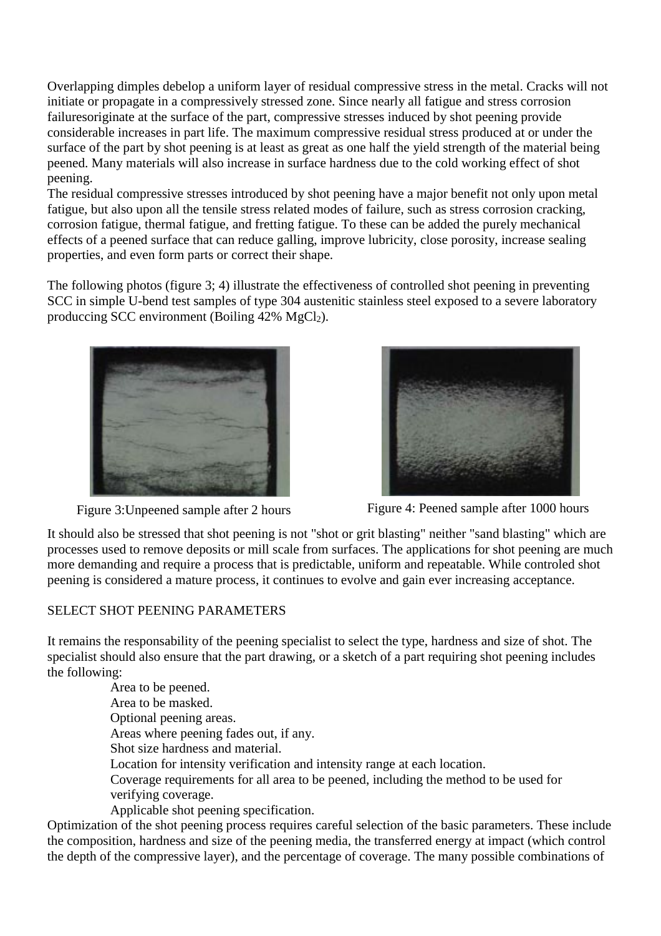Overlapping dimples debelop a uniform layer of residual compressive stress in the metal. Cracks will not initiate or propagate in a compressively stressed zone. Since nearly all fatigue and stress corrosion failuresoriginate at the surface of the part, compressive stresses induced by shot peening provide considerable increases in part life. The maximum compressive residual stress produced at or under the surface of the part by shot peening is at least as great as one half the yield strength of the material being peened. Many materials will also increase in surface hardness due to the cold working effect of shot peening.

The residual compressive stresses introduced by shot peening have a major benefit not only upon metal fatigue, but also upon all the tensile stress related modes of failure, such as stress corrosion cracking, corrosion fatigue, thermal fatigue, and fretting fatigue. To these can be added the purely mechanical effects of a peened surface that can reduce galling, improve lubricity, close porosity, increase sealing properties, and even form parts or correct their shape.

The following photos (figure 3; 4) illustrate the effectiveness of controlled shot peening in preventing SCC in simple U-bend test samples of type 304 austenitic stainless steel exposed to a severe laboratory produccing SCC environment (Boiling  $42\%$  MgCl<sub>2</sub>).





Figure 3: Unpeened sample after 2 hours Figure 4: Peened sample after 1000 hours

It should also be stressed that shot peening is not "shot or grit blasting" neither "sand blasting" which are processes used to remove deposits or mill scale from surfaces. The applications for shot peening are much more demanding and require a process that is predictable, uniform and repeatable. While controled shot peening is considered a mature process, it continues to evolve and gain ever increasing acceptance.

#### SELECT SHOT PEENING PARAMETERS

It remains the responsability of the peening specialist to select the type, hardness and size of shot. The specialist should also ensure that the part drawing, or a sketch of a part requiring shot peening includes the following:

> Area to be peened. Area to be masked. Optional peening areas. Areas where peening fades out, if any. Shot size hardness and material. Location for intensity verification and intensity range at each location. Coverage requirements for all area to be peened, including the method to be used for verifying coverage.

Applicable shot peening specification.

Optimization of the shot peening process requires careful selection of the basic parameters. These include the composition, hardness and size of the peening media, the transferred energy at impact (which control the depth of the compressive layer), and the percentage of coverage. The many possible combinations of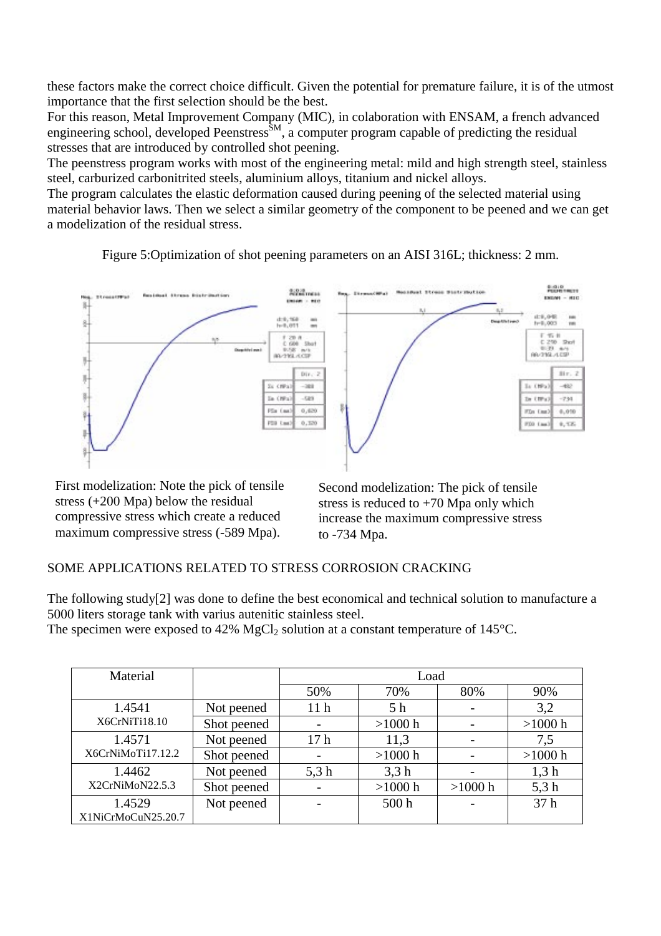these factors make the correct choice difficult. Given the potential for premature failure, it is of the utmost importance that the first selection should be the best.

For this reason, Metal Improvement Company (MIC), in colaboration with ENSAM, a french advanced engineering school, developed Peenstress<sup>SM</sup>, a computer program capable of predicting the residual stresses that are introduced by controlled shot peening.

The peenstress program works with most of the engineering metal: mild and high strength steel, stainless steel, carburized carbonitrited steels, aluminium alloys, titanium and nickel alloys.

The program calculates the elastic deformation caused during peening of the selected material using material behavior laws. Then we select a similar geometry of the component to be peened and we can get a modelization of the residual stress.

Figure 5:Optimization of shot peening parameters on an AISI 316L; thickness: 2 mm.



First modelization: Note the pick of tensile stress (+200 Mpa) below the residual compressive stress which create a reduced maximum compressive stress (-589 Mpa).

Second modelization: The pick of tensile stress is reduced to  $+70$  Mpa only which increase the maximum compressive stress to -734 Mpa.

# SOME APPLICATIONS RELATED TO STRESS CORROSION CRACKING

The following study[2] was done to define the best economical and technical solution to manufacture a 5000 liters storage tank with varius autenitic stainless steel.

The specimen were exposed to 42%  $MgCl<sub>2</sub>$  solution at a constant temperature of 145 $^{\circ}$ C.

| Material                    |             | Load                     |                  |         |           |  |
|-----------------------------|-------------|--------------------------|------------------|---------|-----------|--|
|                             |             | 50%                      | 70%              | 80%     | 90%       |  |
| 1.4541                      | Not peened  | 11 <sub>h</sub>          | 5 <sub>h</sub>   |         | 3,2       |  |
| X6CrNiTi18.10               | Shot peened |                          | $>1000$ h        |         | $>1000$ h |  |
| 1.4571<br>X6CrNiMoTi17.12.2 | Not peened  | 17 <sub>h</sub>          | 11,3             |         | 7,5       |  |
|                             | Shot peened |                          | $>1000$ h        |         | $>1000$ h |  |
| 1.4462<br>X2CrNiMoN22.5.3   | Not peened  | 5,3h                     | 3,3h             |         | 1,3 h     |  |
|                             | Shot peened | $\overline{\phantom{a}}$ | $>1000$ h        | >1000 h | 5,3h      |  |
| 1.4529                      | Not peened  |                          | 500 <sub>h</sub> |         | 37h       |  |
| X1NiCrMoCuN25.20.7          |             |                          |                  |         |           |  |